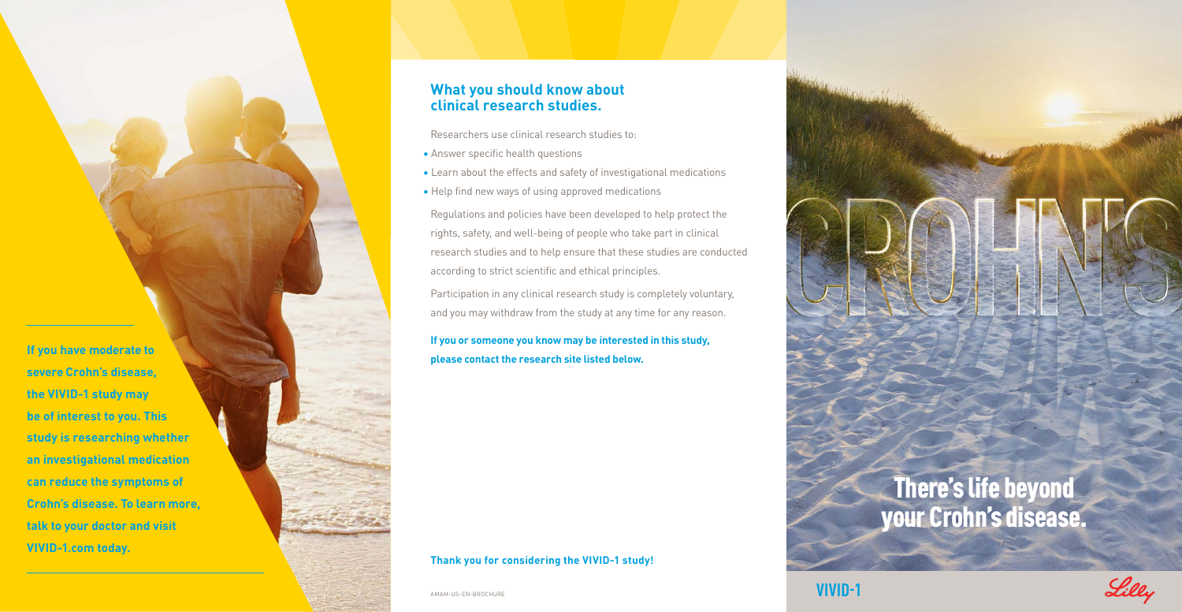## **What you should know about clinical research studies.**

Researchers use clinical research studies to:

- Answer specific health questions
- Learn about the effects and safety of investigational medications
- Help find new ways of using approved medications

Regulations and policies have been developed to help protect the rights, safety, and well-being of people who take part in clinical research studies and to help ensure that these studies are conducted according to strict scientific and ethical principles.

Participation in any clinical research study is completely voluntary, and you may withdraw from the study at any time for any reason.

**If you or someone you know may be interested in this study, please contact the research site listed below.**

#### **Thank you for considering the VIVID-1 study!**

AMAM-US-EN-BROCHURE **VIVID-1** 



**If you have moderate to severe Crohn's disease, the VIVID-1 study may be of interest to you. This study is researching whether an investigational medication can reduce the symptoms of Crohn's disease. To learn more, talk to your doctor and visit VIVID-1.com today.**

There's life beyond your Crohn's disease.